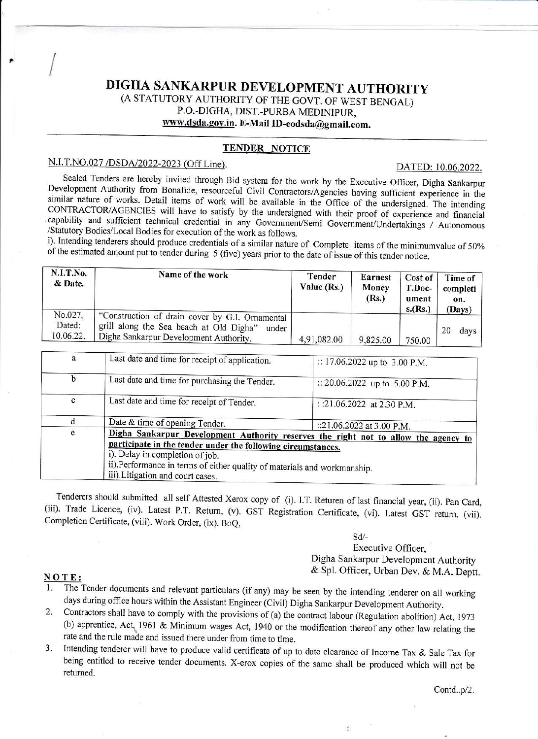# DIGHA SANKARPUR DEVELOPMENT AUTHORITY (A STATUTORY AUTHORITY OF THE GOVT. OF WEST BENGAL) P.O.-DIGHA, DIST.-PURBA MEDINIPUR, www.dsda.gov.in. E-Mail ID-eodsda@gmail.com.

# **TENDER NOTICE**

### N.I.T.NO.027/DSDA/2022-2023 (Off Line).

DATED: 10.06.2022.

Sealed Tenders are hereby invited through Bid system for the work by the Executive Officer, Digha Sankarpur Development Authority from Bonafide, resourceful Civil Contractors/Agencies having sufficient experience in the similar nature of works. Detail items of work will be available in the Office of the undersigned. The intending CONTRACTOR/AGENCIES will have to satisfy by the undersigned with their proof of experience and financial capability and sufficient technical credential in any Government/Semi Government/Undertakings / Autonomous /Statutory Bodies/Local Bodies for execution of the work as follows.

i). Intending tenderers should produce credentials of a similar nature of Complete items of the minimumvalue of 50% of the estimated amount put to tender during 5 (five) years prior to the date of issue of this tender notice.

| N.I.T.No.<br>& Date.           | Name of the work                                                                                                                              | Tender<br>Value (Rs.) | <b>Earnest</b><br>Money<br>(Rs.) | Cost of<br>T.Doc-<br>ument<br>s.(Rs.) | Time of<br>completi<br>on. |
|--------------------------------|-----------------------------------------------------------------------------------------------------------------------------------------------|-----------------------|----------------------------------|---------------------------------------|----------------------------|
| No.027,<br>Dated:<br>10.06.22. | "Construction of drain cover by G.I. Ornamental<br>grill along the Sea beach at Old Digha"<br>under<br>Digha Sankarpur Development Authority. | 4,91,082.00           | 9,825.00                         | 750.00                                | (Days)<br>20<br>days       |

| a | Last date and time for receipt of application.                                                                                                                                                                                                                                                          | :: 17.06.2022 up to 3.00 P.M. |  |  |  |
|---|---------------------------------------------------------------------------------------------------------------------------------------------------------------------------------------------------------------------------------------------------------------------------------------------------------|-------------------------------|--|--|--|
| b | Last date and time for purchasing the Tender.                                                                                                                                                                                                                                                           | :: 20.06.2022 up to 5.00 P.M. |  |  |  |
| c | Last date and time for receipt of Tender.                                                                                                                                                                                                                                                               | : :21.06.2022 at 2.30 P.M.    |  |  |  |
|   | Date & time of opening Tender.                                                                                                                                                                                                                                                                          | ::21.06.2022 at 3.00 P.M.     |  |  |  |
| e | Digha Sankarpur Development Authority reserves the right not to allow the agency to<br>participate in the tender under the following circumstances.<br>i). Delay in completion of job.<br>ii).Performance in terms of either quality of materials and workmanship.<br>iii). Litigation and court cases. |                               |  |  |  |

Tenderers should submitted all self Attested Xerox copy of (i). I.T. Returen of last financial year, (ii). Pan Card, (iii). Trade Licence, (iv). Latest P.T. Return, (v). GST Registration Certificate, (vi). Latest GST return, (vii). Completion Certificate, (viii). Work Order, (ix). BoQ,

Sd/-

÷

Executive Officer.

Digha Sankarpur Development Authority & Spl. Officer, Urban Dev. & M.A. Deptt.

#### NOTE:

The Tender documents and relevant particulars (if any) may be seen by the intending tenderer on all working days during office hours within the Assistant Engineer (Civil) Digha Sankarpur Development Authority.

- Contractors shall have to comply with the provisions of (a) the contract labour (Regulation abolition) Act, 1973  $2.$ (b) apprentice, Act, 1961 & Minimum wages Act, 1940 or the modification thereof any other law relating the rate and the rule made and issued there under from time to time.
- Intending tenderer will have to produce valid certificate of up to date clearance of Income Tax & Sale Tax for 3. being entitled to receive tender documents. X-erox copies of the same shall be produced which will not be returned.

Contd..p/2.